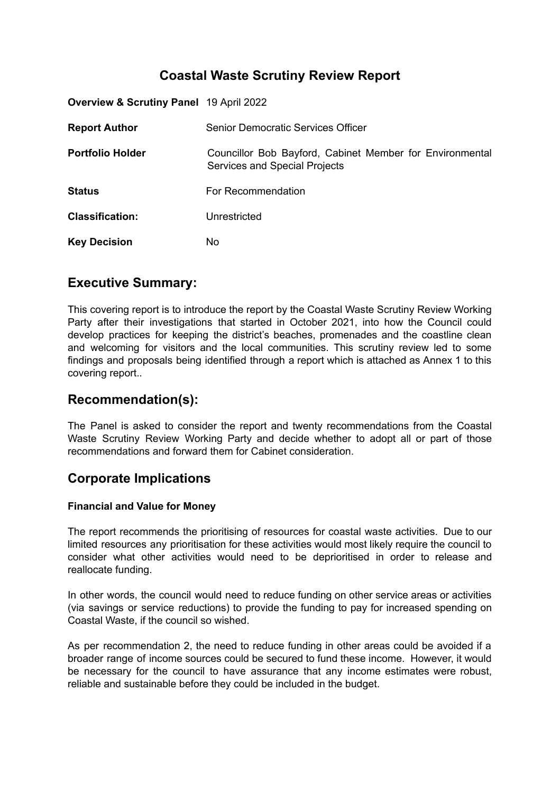# **Coastal Waste Scrutiny Review Report**

| <b>Overview &amp; Scrutiny Panel 19 April 2022</b> |                                                                                           |
|----------------------------------------------------|-------------------------------------------------------------------------------------------|
| <b>Report Author</b>                               | Senior Democratic Services Officer                                                        |
| <b>Portfolio Holder</b>                            | Councillor Bob Bayford, Cabinet Member for Environmental<br>Services and Special Projects |
| <b>Status</b>                                      | For Recommendation                                                                        |
| <b>Classification:</b>                             | Unrestricted                                                                              |
| <b>Key Decision</b>                                | No.                                                                                       |

## **Executive Summary:**

This covering report is to introduce the report by the Coastal Waste Scrutiny Review Working Party after their investigations that started in October 2021, into how the Council could develop practices for keeping the district's beaches, promenades and the coastline clean and welcoming for visitors and the local communities. This scrutiny review led to some findings and proposals being identified through a report which is attached as Annex 1 to this covering report.*.*

# **Recommendation(s):**

The Panel is asked to consider the report and twenty recommendations from the Coastal Waste Scrutiny Review Working Party and decide whether to adopt all or part of those recommendations and forward them for Cabinet consideration.

# **Corporate Implications**

### **Financial and Value for Money**

The report recommends the prioritising of resources for coastal waste activities. Due to our limited resources any prioritisation for these activities would most likely require the council to consider what other activities would need to be deprioritised in order to release and reallocate funding.

In other words, the council would need to reduce funding on other service areas or activities (via savings or service reductions) to provide the funding to pay for increased spending on Coastal Waste, if the council so wished.

As per recommendation 2, the need to reduce funding in other areas could be avoided if a broader range of income sources could be secured to fund these income. However, it would be necessary for the council to have assurance that any income estimates were robust, reliable and sustainable before they could be included in the budget.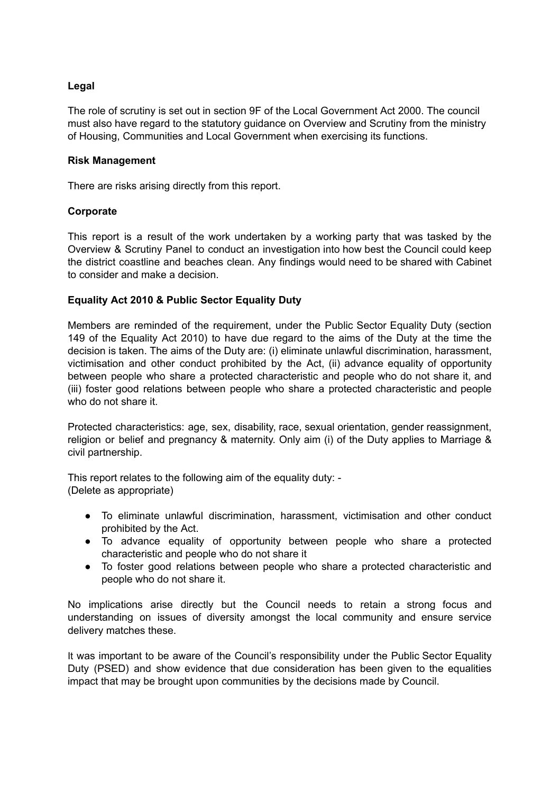#### **Legal**

The role of scrutiny is set out in section 9F of the Local Government Act 2000. The council must also have regard to the statutory guidance on Overview and Scrutiny from the ministry of Housing, Communities and Local Government when exercising its functions.

#### **Risk Management**

There are risks arising directly from this report.

#### **Corporate**

This report is a result of the work undertaken by a working party that was tasked by the Overview & Scrutiny Panel to conduct an investigation into how best the Council could keep the district coastline and beaches clean. Any findings would need to be shared with Cabinet to consider and make a decision.

#### **Equality Act 2010 & Public Sector Equality Duty**

Members are reminded of the requirement, under the Public Sector Equality Duty (section 149 of the Equality Act 2010) to have due regard to the aims of the Duty at the time the decision is taken. The aims of the Duty are: (i) eliminate unlawful discrimination, harassment, victimisation and other conduct prohibited by the Act, (ii) advance equality of opportunity between people who share a protected characteristic and people who do not share it, and (iii) foster good relations between people who share a protected characteristic and people who do not share it.

Protected characteristics: age, sex, disability, race, sexual orientation, gender reassignment, religion or belief and pregnancy & maternity. Only aim (i) of the Duty applies to Marriage & civil partnership.

This report relates to the following aim of the equality duty: - (Delete as appropriate)

- To eliminate unlawful discrimination, harassment, victimisation and other conduct prohibited by the Act.
- To advance equality of opportunity between people who share a protected characteristic and people who do not share it
- To foster good relations between people who share a protected characteristic and people who do not share it.

No implications arise directly but the Council needs to retain a strong focus and understanding on issues of diversity amongst the local community and ensure service delivery matches these.

It was important to be aware of the Council's responsibility under the Public Sector Equality Duty (PSED) and show evidence that due consideration has been given to the equalities impact that may be brought upon communities by the decisions made by Council.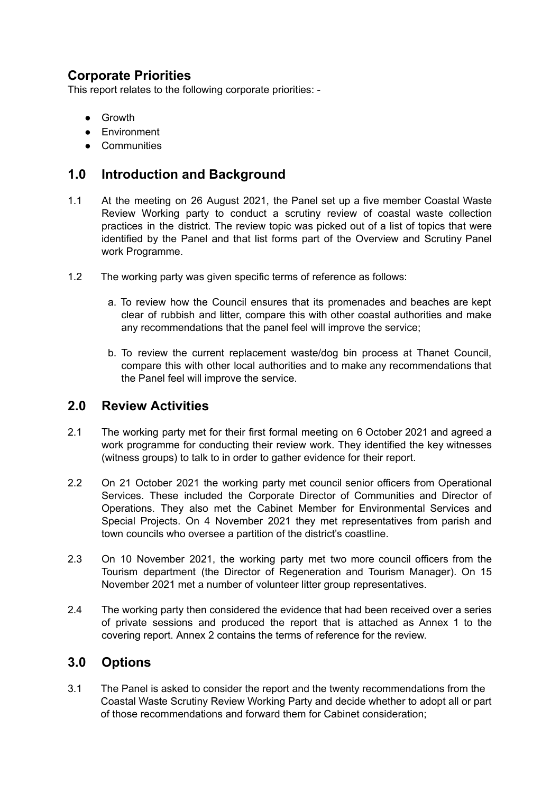# **Corporate Priorities**

This report relates to the following corporate priorities: -

- Growth
- Environment
- Communities

# **1.0 Introduction and Background**

- 1.1 At the meeting on 26 August 2021, the Panel set up a five member Coastal Waste Review Working party to conduct a scrutiny review of coastal waste collection practices in the district. The review topic was picked out of a list of topics that were identified by the Panel and that list forms part of the Overview and Scrutiny Panel work Programme.
- 1.2 The working party was given specific terms of reference as follows:
	- a. To review how the Council ensures that its promenades and beaches are kept clear of rubbish and litter, compare this with other coastal authorities and make any recommendations that the panel feel will improve the service;
	- b. To review the current replacement waste/dog bin process at Thanet Council, compare this with other local authorities and to make any recommendations that the Panel feel will improve the service.

## **2.0 Review Activities**

- 2.1 The working party met for their first formal meeting on 6 October 2021 and agreed a work programme for conducting their review work. They identified the key witnesses (witness groups) to talk to in order to gather evidence for their report.
- 2.2 On 21 October 2021 the working party met council senior officers from Operational Services. These included the Corporate Director of Communities and Director of Operations. They also met the Cabinet Member for Environmental Services and Special Projects. On 4 November 2021 they met representatives from parish and town councils who oversee a partition of the district's coastline.
- 2.3 On 10 November 2021, the working party met two more council officers from the Tourism department (the Director of Regeneration and Tourism Manager). On 15 November 2021 met a number of volunteer litter group representatives.
- 2.4 The working party then considered the evidence that had been received over a series of private sessions and produced the report that is attached as Annex 1 to the covering report. Annex 2 contains the terms of reference for the review.

## **3.0 Options**

3.1 The Panel is asked to consider the report and the twenty recommendations from the Coastal Waste Scrutiny Review Working Party and decide whether to adopt all or part of those recommendations and forward them for Cabinet consideration;